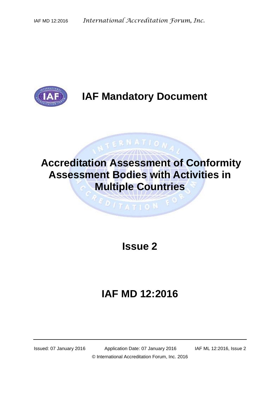

# **IAF Mandatory Document**

# **Accreditation Assessment of Conformity Assessment Bodies with Activities in Multiple Countries**

**EDITATION** 

NTERNATION

### **Issue 2**

# **IAF MD 12:2016**

Issued: 07 January 2016 Application Date: 07 January 2016 IAF ML 12:2016, Issue 2 © International Accreditation Forum, Inc. 2016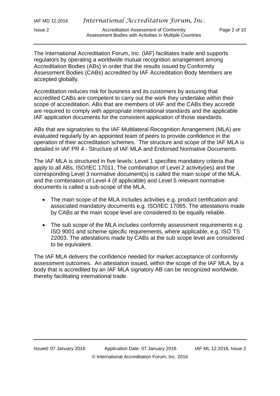| IAF MD 12:2016 | International Accreditation Forum, Inc.                                                           |              |
|----------------|---------------------------------------------------------------------------------------------------|--------------|
| Issue 2        | Accreditation Assessment of Conformity<br>Assessment Bodies with Activities in Multiple Countries | Page 2 of 10 |

The International Accreditation Forum, Inc. (IAF) facilitates trade and supports regulators by operating a worldwide mutual recognition arrangement among Accreditation Bodies (ABs) in order that the results issued by Conformity Assessment Bodies (CABs) accredited by IAF Accreditation Body Members are accepted globally.

Accreditation reduces risk for business and its customers by assuring that accredited CABs are competent to carry out the work they undertake within their scope of accreditation. ABs that are members of IAF and the CABs they accredit are required to comply with appropriate international standards and the applicable IAF application documents for the consistent application of those standards.

ABs that are signatories to the IAF Multilateral Recognition Arrangement (MLA) are evaluated regularly by an appointed team of peers to provide confidence in the operation of their accreditation schemes. The structure and scope of the IAF MLA is detailed in IAF PR 4 - Structure of IAF MLA and Endorsed Normative Documents.

The IAF MLA is structured in five levels: Level 1 specifies mandatory criteria that apply to all ABs, ISO/IEC 17011. The combination of Level 2 activity(ies) and the corresponding Level 3 normative document(s) is called the main scope of the MLA, and the combination of Level 4 (if applicable) and Level 5 relevant normative documents is called a sub-scope of the MLA.

- The main scope of the MLA includes activities e.g. product certification and associated mandatory documents e.g. ISO/IEC 17065. The attestations made by CABs at the main scope level are considered to be equally reliable.
- The sub scope of the MLA includes conformity assessment requirements e.g. ISO 9001 and scheme specific requirements, where applicable, e.g. ISO TS 22003. The attestations made by CABs at the sub scope level are considered to be equivalent.

The IAF MLA delivers the confidence needed for market acceptance of conformity assessment outcomes. An attestation issued, within the scope of the IAF MLA, by a body that is accredited by an IAF MLA signatory AB can be recognized worldwide, thereby facilitating international trade.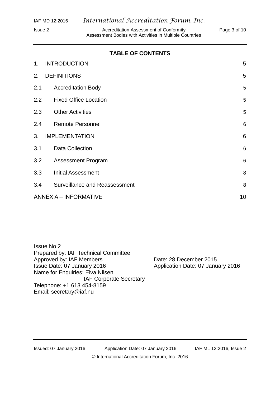Issue 2 **Accreditation Assessment of Conformity** Page 3 of 10 Assessment Bodies with Activities in Multiple Countries

### **TABLE OF CONTENTS**

| 1.      | <b>INTRODUCTION</b>                  | 5               |
|---------|--------------------------------------|-----------------|
| 2.      | <b>DEFINITIONS</b>                   | 5               |
| 2.1     | <b>Accreditation Body</b>            | 5               |
| $2.2\,$ | <b>Fixed Office Location</b>         | 5               |
| 2.3     | <b>Other Activities</b>              | 5               |
| 2.4     | <b>Remote Personnel</b>              | $6\phantom{1}6$ |
| 3.      | <b>IMPLEMENTATION</b>                | $6\phantom{1}6$ |
| 3.1     | <b>Data Collection</b>               | 6               |
| 3.2     | <b>Assessment Program</b>            | 6               |
| 3.3     | <b>Initial Assessment</b>            | 8               |
| 3.4     | <b>Surveillance and Reassessment</b> | 8               |
|         | <b>ANNEX A - INFORMATIVE</b>         |                 |

Issue No 2 Prepared by: IAF Technical Committee Approved by: IAF Members Date: 28 December 2015 Issue Date: 07 January 2016 Application Date: 07 January 2016 Name for Enquiries: Elva Nilsen IAF Corporate Secretary Telephone: +1 613 454-8159 Email: [secretary@iaf.nu](mailto:secretary@iaf.nu)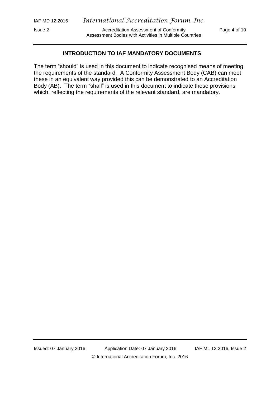Assessment Bodies with Activities in Multiple Countries

#### **INTRODUCTION TO IAF MANDATORY DOCUMENTS**

The term "should" is used in this document to indicate recognised means of meeting the requirements of the standard. A Conformity Assessment Body (CAB) can meet these in an equivalent way provided this can be demonstrated to an Accreditation Body (AB). The term "shall" is used in this document to indicate those provisions which, reflecting the requirements of the relevant standard, are mandatory.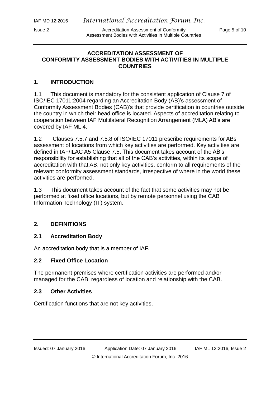Issue 2 Accreditation Assessment of Conformity Page 5 of 10 Assessment Bodies with Activities in Multiple Countries

#### **ACCREDITATION ASSESSMENT OF CONFORMITY ASSESSMENT BODIES WITH ACTIVITIES IN MULTIPLE COUNTRIES**

### <span id="page-4-0"></span>**1. INTRODUCTION**

1.1 This document is mandatory for the consistent application of Clause 7 of ISO/IEC 17011:2004 regarding an Accreditation Body (AB)'s assessment of Conformity Assessment Bodies (CAB)'s that provide certification in countries outside the country in which their head office is located. Aspects of accreditation relating to cooperation between IAF Multilateral Recognition Arrangement (MLA) AB's are covered by IAF ML 4.

1.2 Clauses 7.5.7 and 7.5.8 of ISO/IEC 17011 prescribe requirements for ABs assessment of locations from which key activities are performed. Key activities are defined in IAF/ILAC A5 Clause 7.5. This document takes account of the AB's responsibility for establishing that all of the CAB's activities, within its scope of accreditation with that AB, not only key activities, conform to all requirements of the relevant conformity assessment standards, irrespective of where in the world these activities are performed.

1.3 This document takes account of the fact that some activities may not be performed at fixed office locations, but by remote personnel using the CAB Information Technology (IT) system.

#### <span id="page-4-1"></span>**2. DEFINITIONS**

#### <span id="page-4-2"></span>**2.1 Accreditation Body**

An accreditation body that is a member of IAF.

#### <span id="page-4-3"></span>**2.2 Fixed Office Location**

The permanent premises where certification activities are performed and/or managed for the CAB, regardless of location and relationship with the CAB.

#### <span id="page-4-4"></span>**2.3 Other Activities**

<span id="page-4-5"></span>Certification functions that are not key activities.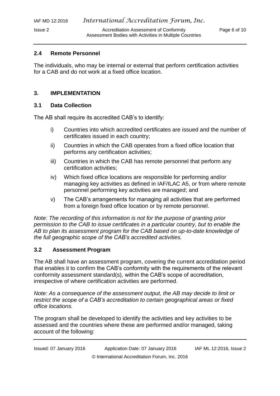#### **2.4 Remote Personnel**

The individuals, who may be internal or external that perform certification activities for a CAB and do not work at a fixed office location.

#### <span id="page-5-0"></span>**3. IMPLEMENTATION**

#### <span id="page-5-1"></span>**3.1 Data Collection**

The AB shall require its accredited CAB's to identify:

- i) Countries into which accredited certificates are issued and the number of certificates issued in each country;
- ii) Countries in which the CAB operates from a fixed office location that performs any certification activities;
- iii) Countries in which the CAB has remote personnel that perform any certification activities;
- iv) Which fixed office locations are responsible for performing and/or managing key activities as defined in IAF/ILAC A5, or from where remote personnel performing key activities are managed; and
- v) The CAB's arrangements for managing all activities that are performed from a foreign fixed office location or by remote personnel.

*Note: The recording of this information is not for the purpose of granting prior permission to the CAB to issue certificates in a particular country, but to enable the AB to plan its assessment program for the CAB based on up-to-date knowledge of the full geographic scope of the CAB's accredited activities.*

#### <span id="page-5-2"></span>**3.2 Assessment Program**

The AB shall have an assessment program, covering the current accreditation period that enables it to confirm the CAB's conformity with the requirements of the relevant conformity assessment standard(s), within the CAB's scope of accreditation, irrespective of where certification activities are performed.

*Note: As a consequence of the assessment output, the AB may decide to limit or restrict the scope of a CAB's accreditation to certain geographical areas or fixed office locations.* 

The program shall be developed to identify the activities and key activities to be assessed and the countries where these are performed and/or managed, taking account of the following: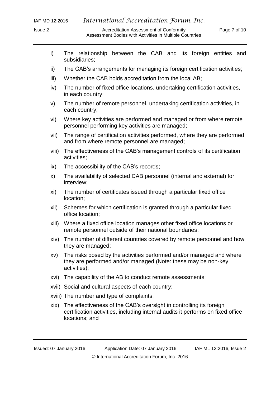- i) The relationship between the CAB and its foreign entities and subsidiaries;
- ii) The CAB's arrangements for managing its foreign certification activities;
- iii) Whether the CAB holds accreditation from the local AB;
- iv) The number of fixed office locations, undertaking certification activities, in each country;
- v) The number of remote personnel, undertaking certification activities, in each country;
- vi) Where key activities are performed and managed or from where remote personnel performing key activities are managed;
- vii) The range of certification activities performed, where they are performed and from where remote personnel are managed;
- viii) The effectiveness of the CAB's management controls of its certification activities;
- ix) The accessibility of the CAB's records;
- x) The availability of selected CAB personnel (internal and external) for interview;
- xi) The number of certificates issued through a particular fixed office location;
- xii) Schemes for which certification is granted through a particular fixed office location;
- xiii) Where a fixed office location manages other fixed office locations or remote personnel outside of their national boundaries;
- xiv) The number of different countries covered by remote personnel and how they are managed;
- xv) The risks posed by the activities performed and/or managed and where they are performed and/or managed (Note: these may be non-key activities);
- xvi) The capability of the AB to conduct remote assessments;
- xvii) Social and cultural aspects of each country;
- xviii) The number and type of complaints;
- xix) The effectiveness of the CAB's oversight in controlling its foreign certification activities, including internal audits it performs on fixed office locations; and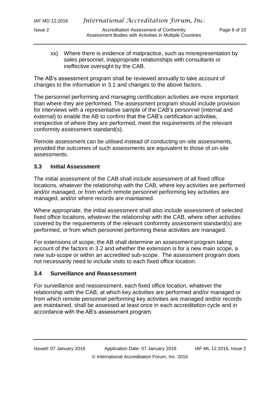Issue 2 Accreditation Assessment of Conformity Page 8 of 10 Assessment Bodies with Activities in Multiple Countries

xx) Where there is evidence of malpractice, such as misrepresentation by sales personnel, inappropriate relationships with consultants or ineffective oversight by the CAB.

The AB's assessment program shall be reviewed annually to take account of changes to the information in 3.1 and changes to the above factors.

The personnel performing and managing certification activities are more important than where they are performed. The assessment program should include provision for interviews with a representative sample of the CAB's personnel (internal and external) to enable the AB to confirm that the CAB's certification activities, irrespective of where they are performed, meet the requirements of the relevant conformity assessment standard(s).

Remote assessment can be utilised instead of conducting on-site assessments, provided the outcomes of such assessments are equivalent to those of on-site assessments.

### <span id="page-7-0"></span>**3.3 Initial Assessment**

The initial assessment of the CAB shall include assessment of all fixed office locations, whatever the relationship with the CAB, where key activities are performed and/or managed, or from which remote personnel performing key activities are managed, and/or where records are maintained.

Where appropriate, the initial assessment shall also include assessment of selected fixed office locations, whatever the relationship with the CAB, where other activities covered by the requirements of the relevant conformity assessment standard(s) are performed, or from which personnel performing these activities are managed.

For extensions of scope, the AB shall determine an assessment program taking account of the factors in 3.2 and whether the extension is for a new main scope, a new sub-scope or within an accredited sub-scope. The assessment program does not necessarily need to include visits to each fixed office location.

#### <span id="page-7-1"></span>**3.4 Surveillance and Reassessment**

For surveillance and reassessment, each fixed office location, whatever the relationship with the CAB, at which key activities are performed and/or managed or from which remote personnel performing key activities are managed and/or records are maintained, shall be assessed at least once in each accreditation cycle and in accordance with the AB's assessment program.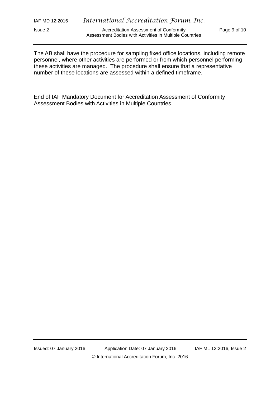| IAF MD 12:2016 | International Accreditation Forum, Inc.                 |  |
|----------------|---------------------------------------------------------|--|
| lssue 2        | <b>Accreditation Assessment of Conformity</b>           |  |
|                | Assessment Bodies with Activities in Multiple Countries |  |

Page 9 of 10

The AB shall have the procedure for sampling fixed office locations, including remote personnel, where other activities are performed or from which personnel performing these activities are managed. The procedure shall ensure that a representative number of these locations are assessed within a defined timeframe.

End of IAF Mandatory Document for Accreditation Assessment of Conformity Assessment Bodies with Activities in Multiple Countries.